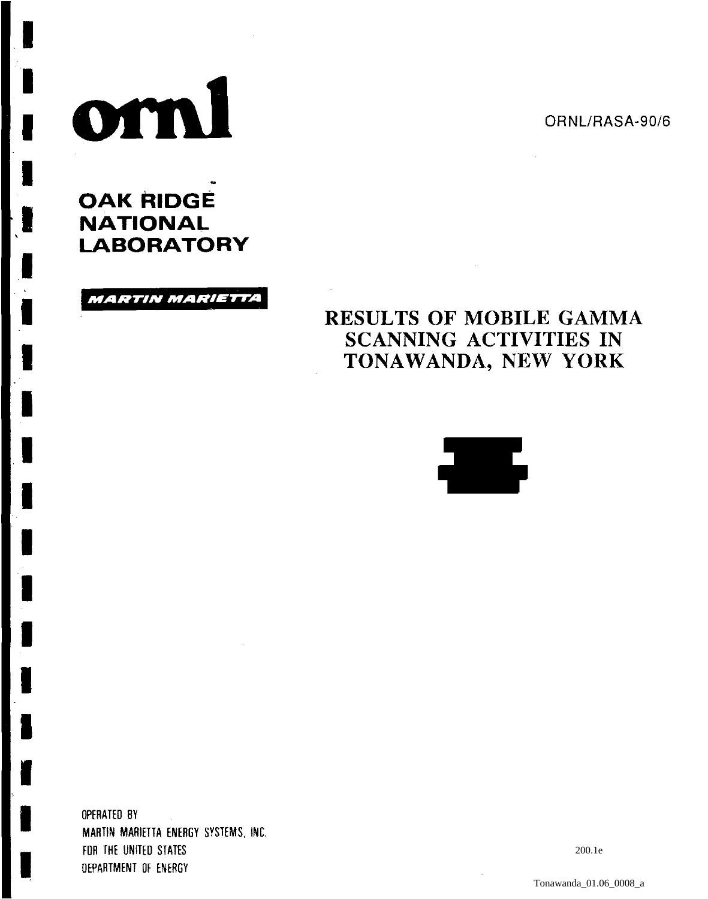ORNL/RASA-90/6

# orni

I

I

I

I

I

I

I

I

I

I

I

I

I

I

I

I

I

I

I

OAK RIDGE **NATIONAL** LABORATORY

MARTIN MARIETTA

# RESULTS OF MOBILE GAMMA SCANNING ACTIVITIES IN TONAWANDA, NEW YORK



OPERATED BY MARTIN MARIETTA ENERGY SYSTEMS. INC. FOR THE UNITEO STATES OEPARTMENT OF ENERGY

200.1e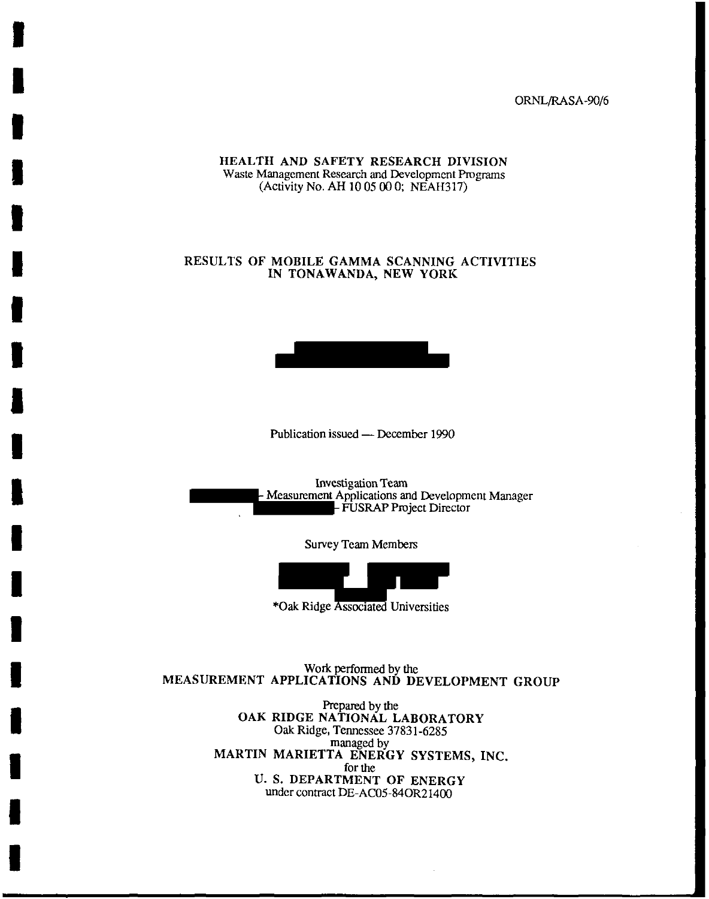ORNL/RASA-90/6

HEALTH AND SAFETY RESEARCH DIVISION Waste Management Research and Development Programs (Activity No. AH 10 05 00 0; NEAH317)

I

I

I

I

I

I

I

I

I

I

I

I

I

I

I

I

I

I

I

### RESULTS OF MOBILE GAMMA SCANNING ACTIVITIES IN TONAWANDA, NEW YORK



Publication issued - December 1990

Investigation Team<br>- Measurement Applications and Development Manager - FUSRAP Project Director

Survey Team Members



\*Oak Ridge Associated Universities

Work performed by the MEASUREMENT APPLICATIONS AND DEVELOPMENT GROUP

> Prepared by the OAK RIDGE NATIONAL LABORATORY Oak Ridge, Tennessee 37831-6285 managed by MARTIN MARIETTA ENERGY SYSTEMS, INC. for the U. S. DEPARTMENT OF ENERGY under contract DE-AC05-840R21400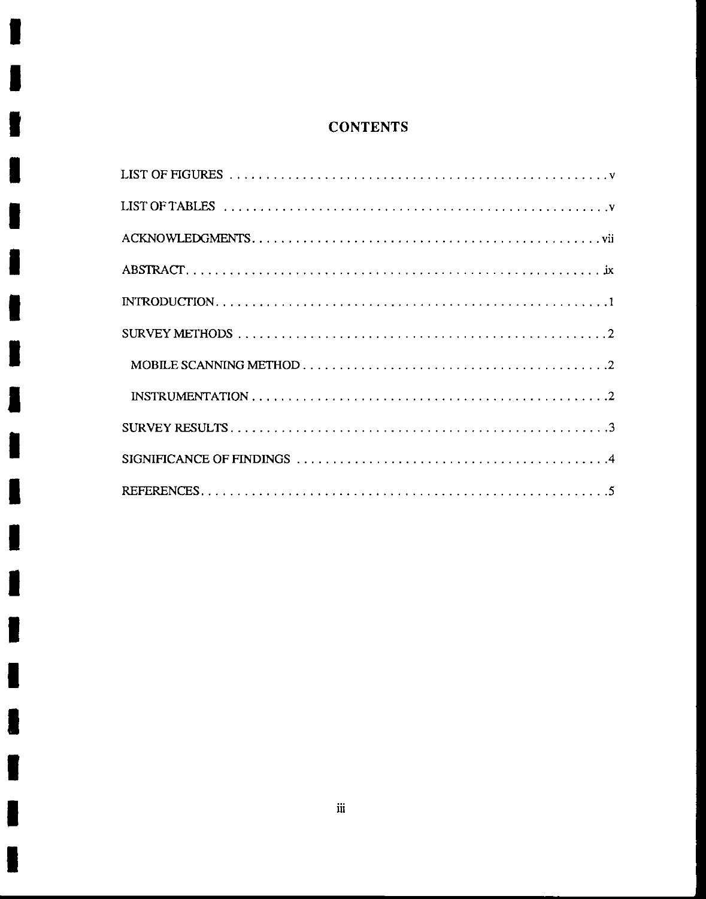# **CONTENTS**

1

J

I

I

I

I

 $\blacksquare$ 

 $\blacksquare$ 

I

I

 $\blacksquare$ 

I

I

ł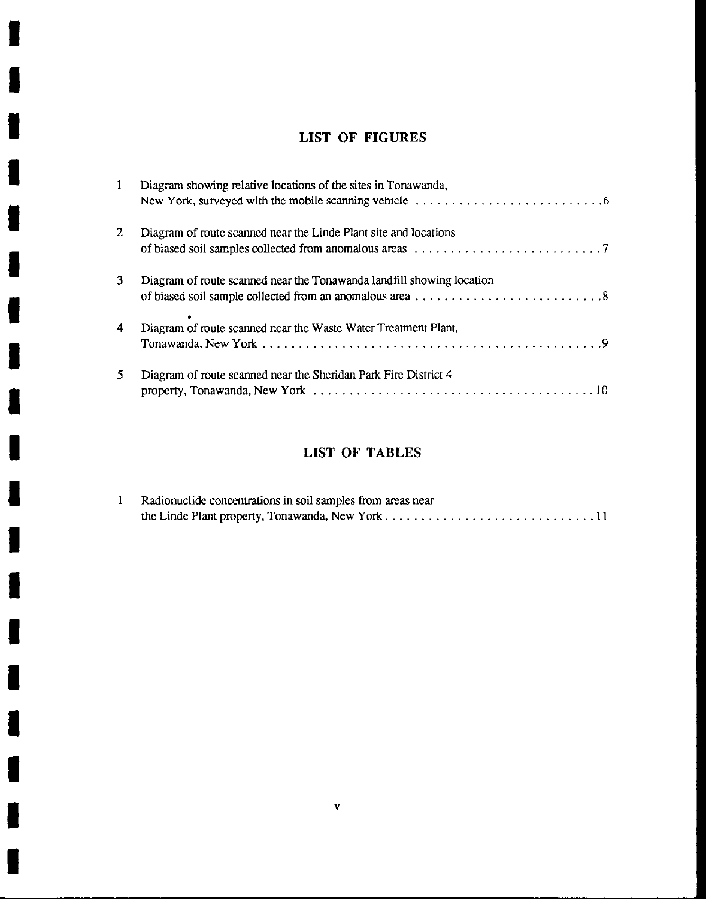## **LIST OF FIGURES**

I

I

I

I

I

I

I

I

I

I

I

I

I

I

I

I

I

I

I

| $\mathbf{1}$ | Diagram showing relative locations of the sites in Tonawanda,         |
|--------------|-----------------------------------------------------------------------|
| $\mathbf{2}$ | Diagram of route scanned near the Linde Plant site and locations      |
| 3            | Diagram of route scanned near the Tonawanda landfill showing location |
| 4            | Diagram of route scanned near the Waste Water Treatment Plant,        |
| 5            | Diagram of route scanned near the Sheridan Park Fire District 4       |

# **LIST OF TABLES**

| Radionuclide concentrations in soil samples from areas near |
|-------------------------------------------------------------|
|                                                             |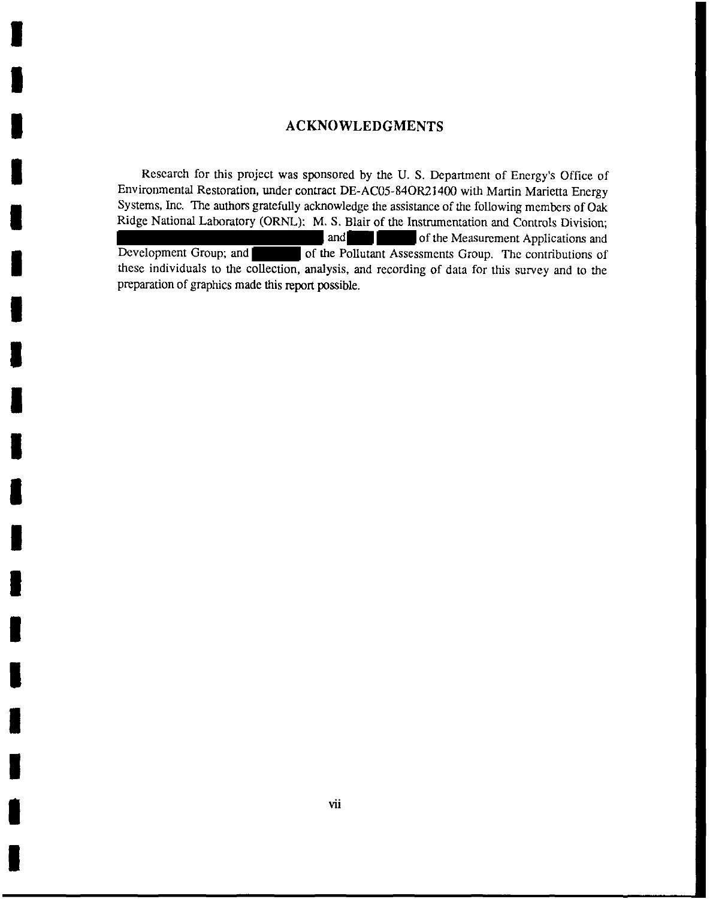### **ACKNOWLEDGMENTS**

I

I

I

I

I

I

I

I

I

I

I

I

I

I

I

I

I

I

I

Research for this project was sponsored by the U. S. Department of Energy's Office of Environmental Restoration, under contract DE-AC05-840R21400 with Martin Marietta Energy Systems, Inc. The authors gratefully acknowledge the assistance of the following members of Oak Ridge National Laboratory (ORNL): M.S. Blair of the Instrumentation and Controls Division; and **of the Measurement Applications and** Development Group; and  $\blacksquare$  of the Pollutant Assessments Group. The contributions of these individuals to the collection, analysis, and recording of data for this survey and to the preparation of graphics made this report possible.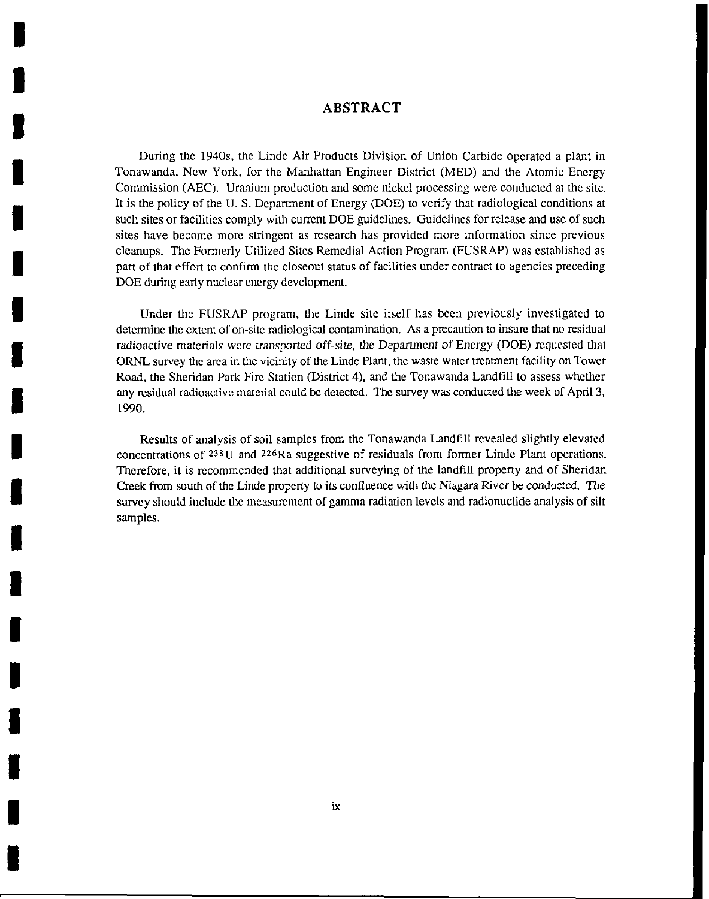### **ABSTRACT**

I

I

I

I

I

I

I

I

I

I

I

I

I

I

I

I

I

I

I

During the 1940s, the Linde Air Products Division of Union Carbide operated a plant in Tonawanda, New York, for the Manhattan Engineer District (MED) and the Atomic Energy Commission (AEC). Uranium production and some nickel processing were conducted at the site. It is the policy of the U. S. Department of Energy (DOE) to verify that radiological conditions at such sites or facilities comply with current DOE guidelines. Guidelines for release and use of such sites have become more stringent as research has provided more information since previous cleanups. The Formerly Utilized Sites Remedial Action Program (FUSRAP) was established as part of that effort to confirm the closeout status of facilities under contract to agencies preceding DOE during early nuclear energy development.

Under the FUSRAP program, the Linde site itself has been previously investigated to determine the extent of on-site radiological contamination. As a precaution to insure that no residual radioactive materials were transported off-site, the Department of Energy (DOE) requested that ORNL survey the area in the vicinity of the Linde Plant, the waste water treatment facility on Tower Road, the Sheridan Park Fire Station (District 4), and the Tonawanda Landfill to assess whether any residual radioactive material could be detected. The survey was conducted the week of April 3, 1990.

Results of analysis of soil samples from the Tonawanda Landfill revealed slightly elevated concentrations of 238U and 226Ra suggestive of residuals from former Linde Plant operations. Therefore, it is recommended that additional surveying of the landfill property and of Sheridan Creek from south of the Linde property to its confluence with the Niagara River be conducted. The survey should include the measurement of gamma radiation levels and radionuclide analysis of silt samples.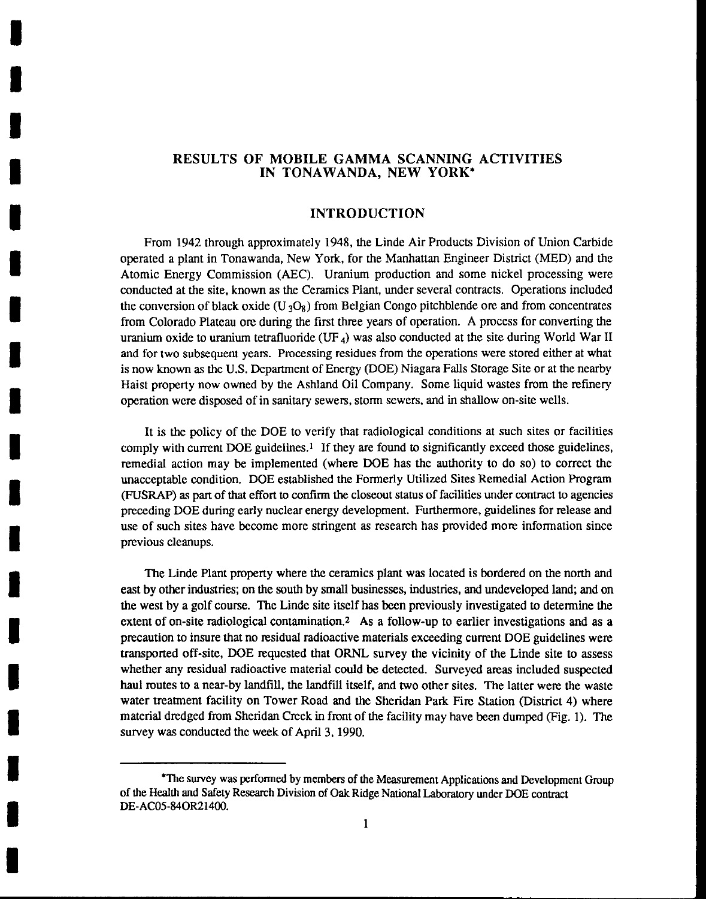### RESULTS OF MOBILE GAMMA SCANNING ACTIVITIES IN TONAWANDA, NEW YORK\*

I

I

I

I

I

I

I

I

I

I

I

I

I

I

I

I

I

I

I

### INTRODUCTION

From 1942 through approximately 1948, the Linde Air Products Division of Union Carbide operated a plant in Tonawanda, New York, for the Manhattan Engineer District (MED) and the Atomic Energy Commission (AEC). Uranium production and some nickel processing were conducted at the site, known as the Ceramics Plant, under several contracts. Operations included the conversion of black oxide  $(U_3O_8)$  from Belgian Congo pitchblende ore and from concentrates from Colorado Plateau ore during the first three years of operation. A process for converting the uranium oxide to uranium tetrafluoride (UF<sub>4</sub>) was also conducted at the site during World War II and for two subsequent years. Processing residues from the operations were stored either at what is now known as the U.S. Department of Energy (DOE) Niagara Falls Storage Site or at the nearby Haist property now owned by the Ashland Oil Company. Some liquid wastes from the refinery operation were disposed of in sanitary sewers, storm sewers, and in shallow on-site wells.

It is the policy of the DOE to verify that radiological conditions at such sites or facilities comply with current DOE guidelines.<sup>1</sup> If they are found to significantly exceed those guidelines, remedial action may be implemented (where DOE has the authority to do so) to correct the unacceptable condition. DOE established the Formerly Utilized Sites Remedial Action Program (FUSRAP) as part of that effort to confirm the closeout status of facilities under contract to agencies preceding DOE during early nuclear energy development. Furthermore, guidelines for release and use of such sites have become more stringent as research has provided more information since previous cleanups.

The Linde Plant property where the ceramics plant was located is bordered on the north and east by other industries; on the south by small businesses, industries, and undeveloped land; and on the west by a golf course. The Linde site itself has been previously investigated to determine the extent of on-site radiological contamination.2 As a follow-up to earlier investigations and as a precaution to insure that no residual radioactive materials exceeding current DOE guidelines were transported off-site, DOE requested that ORNL survey the vicinity of the Linde site to assess whether any residual radioactive material could be detected. Surveyed areas included suspected haul routes to a near-by landfill, the landfill itself, and two other sites. The latter were the waste water treatment facility on Tower Road and the Sheridan Park Fire Station (District 4) where material dredged from Sheridan Creek in front of the facility may have been dumped (Fig. I). The survey was conducted the week of April 3, 1990.

<sup>\*</sup>The survey was performed by members of the Measurement Applications and Development Group of the Health and Safety Research Division of Oak Ridge National Laboratory under DOE contract DE-AC05-840R21400.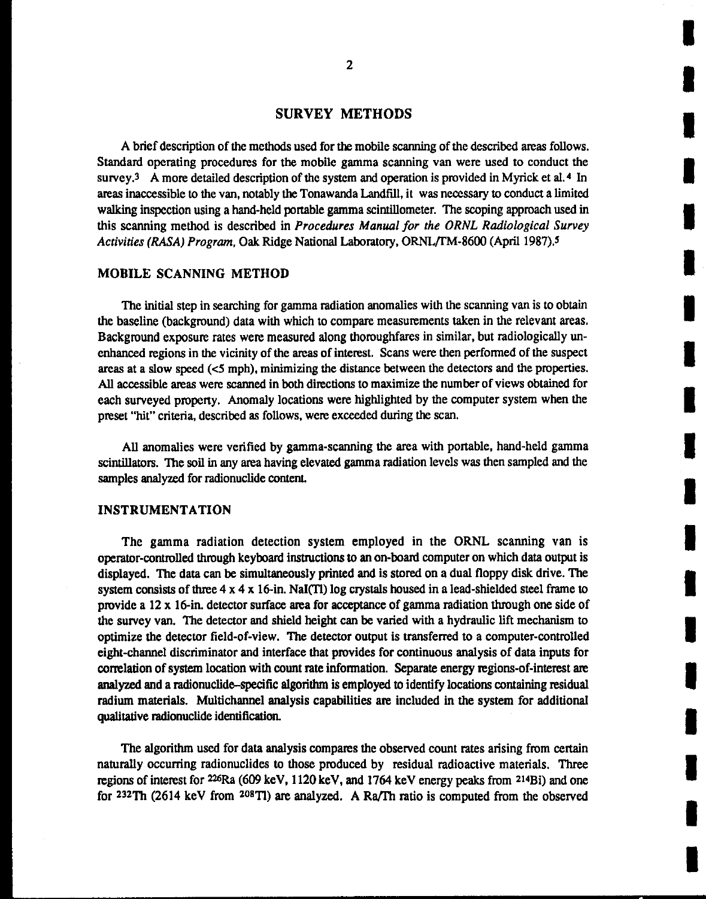### SURVEY METHODS

A brief description of the methods used for the mobile scanning of the described areas follows. Standard operating procedures for the mobile gamma scanning van were used to conduct the survey.<sup>3</sup> A more detailed description of the system and operation is provided in Myrick et al.<sup>4</sup> In areas inaccessible to the van, notably the Tonawanda Landfill, it was necessary to conduct a limited walking inspection using a hand-held portable gamma scintillometer. The scoping approach used in this scanning method is described in *Procedures Manual for the ORNL Radiological Survey Activities (RASA) Program, Oak Ridge National Laboratory, ORNL/TM-8600 (April 1987).<sup>5</sup>* 

### MOBILE SCANNING METHOD

The initial step in searching for gamma radiation anomalies with the scanning van is to obtain the baseline (background) data with which to compare measurements taken in the relevant areas. Background exposure rates were measured along thoroughfares in similar, but radiologically unenhanced regions in the vicinity of the areas of interest. Scans were then performed of the suspect areas at a slow speed ( *<5* mph), minimizing the distance between the detectors and the properties. All accessible areas were scanned in both directions to maximize the number of views obtained for each surveyed property. Anomaly locations were highlighted by the computer system when the preset "hit" criteria, described as follows, were exceeded during the scan.

All anomalies were verified by gamma-scanning the area with portable, hand-held gamma scintillators. The soil in any area having elevated gamma radiation levels was then sampled and the samples analyzed for radionuclide content.

### INSTRUMENTATION

The gamma radiation detection system employed in the ORNL scanning van is operator-controlled through keyboard instructions to an on-board computer on which data output is displayed. The data can be simultaneously printed and is stored on a dual floppy disk drive. The system consists of three  $4 \times 4 \times 16$ -in. NaI(Tl) log crystals housed in a lead-shielded steel frame to provide a 12 x 16-in. detector surface area for acceptance of gamma radiation through one side of the survey van. The detector and shield height can be varied with a hydraulic lift mechanism to optimize the detector field-of-view. The detector output is transferred to a computer-controlled eight-channel discriminator and interface that provides for continuous analysis of data inputs for correlation of system location with count rate information. Separate energy regions-of-interest are analyzed and a radionuclide-specific algorithm is employed to identify locations containing residual radium materials. Multichannel analysis capabilities are included in the system for additional qualitative radionuclide identification.

The algorithm used for data analysis compares the observed count rates arising from certain naturally occurring radionuclides to those produced by residual radioactive materials. Three regions of interest for 226Ra (609 keY, 1120 keY, and 1764 keY energy peaks from 214Bi) and one for 232Th (2614 keY from 20BTJ) are analyzed. A Ra/I'h ratio is computed from the observed I

I

I

I

I

I

I

I

I

I

I

I

I

I

I

I

I

I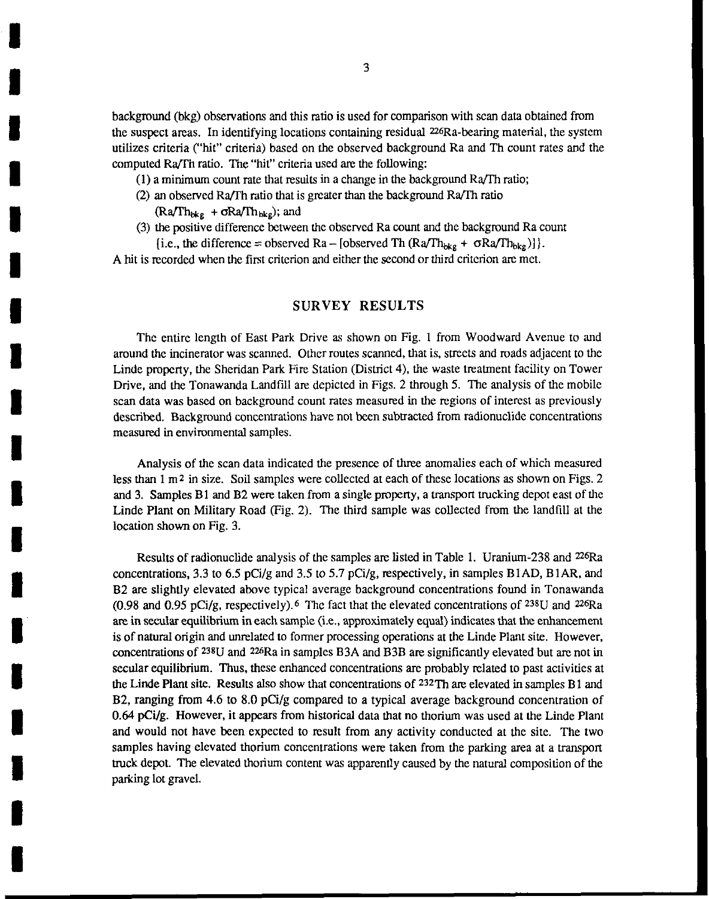background (bkg) observations and this ratio is used for comparison with scan data obtained from the suspect areas. In identifying locations containing residual 226Ra-bearing material, the system utilizes criteria ("hit" criteria) based on the observed background Ra and Th count rates and the computed Ra/fh ratio. The "hit" criteria used are the following:

- $(1)$  a minimum count rate that results in a change in the background Ra/Th ratio;
- (2) an observed Ra/fh ratio that is greater than the background Ra/fh ratio

 $(Ra/Th_{bkg} + \sigma Ra/Th_{bkg})$ ; and

I

I

I

I

I

I

I

I

I

I

I

I

I

I

I

I

I

I

I

(3) the positive difference between the observed Ra count and the background Ra count [i.e., the difference = observed Ra – [observed Th (Ra/Th<sub>bkg</sub> +  $\sigma$ Ra/Th<sub>bkg</sub>)]].

A hit is recorded when the first criterion and either the second or third criterion are met.

### SURVEY RESULTS

The entire length of East Park Drive as shown on Fig. I from Woodward Avenue to and around the incinerator was scanned. Other routes scanned, that is, streets and roads adjacent to the Linde property, the Sheridan Park Fire Station (District 4), the waste treatment facility on Tower Drive, and the Tonawanda Landfill are depicted in Figs. 2 through 5. The analysis of the mobile scan data was based on background count rates measured in the regions of interest as previously described. Background concentrations have not been subtracted from radionuclide concentrations measured in environmental samples.

Analysis of the scan data indicated the presence of three anomalies each of which measured less than 1 m<sup>2</sup> in size. Soil samples were collected at each of these locations as shown on Figs. 2 and 3. Samples Bl and B2 were taken from a single property, a transport trucking depot east of the Linde Plant on Military Road (Fig. 2). The third sample was collected from the landfill at the location shown on Fig. 3.

Results of radionuclide analysis of the samples are listed in Table I. Uranium-238 and 226Ra concentrations, 3.3 to 6.5 pCi/g and 3.5 to 5.7 pCi/g, respectively, in samples B1AD, B1AR, and B2 are slightly elevated above typical average background concentrations found in Tonawanda (0.98 and 0.95 pCi/g, respectively). 6 The fact that the elevated concentrations of 238U and 226Ra are in secular equilibrium in each sample (i.e., approximately equal) indicates that the enhancement is of natural origin and unrelated to former processing operations at the Linde Plant site. However, concentrations of 238U and 226Ra in samples B3A and B3B are significantly elevated but are not in secular equilibrium. Thus, these enhanced concentrations are probably related to past activities at the Linde Plant site. Results also show that concentrations of  $232$ Th are elevated in samples B1 and B2, ranging from 4.6 to 8.0 pCi/g compared to a typical average background concentration of 0.64 pCi/g. However, it appears from historical data that no thorium was used at the Linde Plant and would not have been expected to result from any activity conducted at the site. The two samples having elevated thorium concentrations were taken from the parking area at a transport truck depot The elevated thorium content was apparently caused by the natural composition of the parking lot gravel.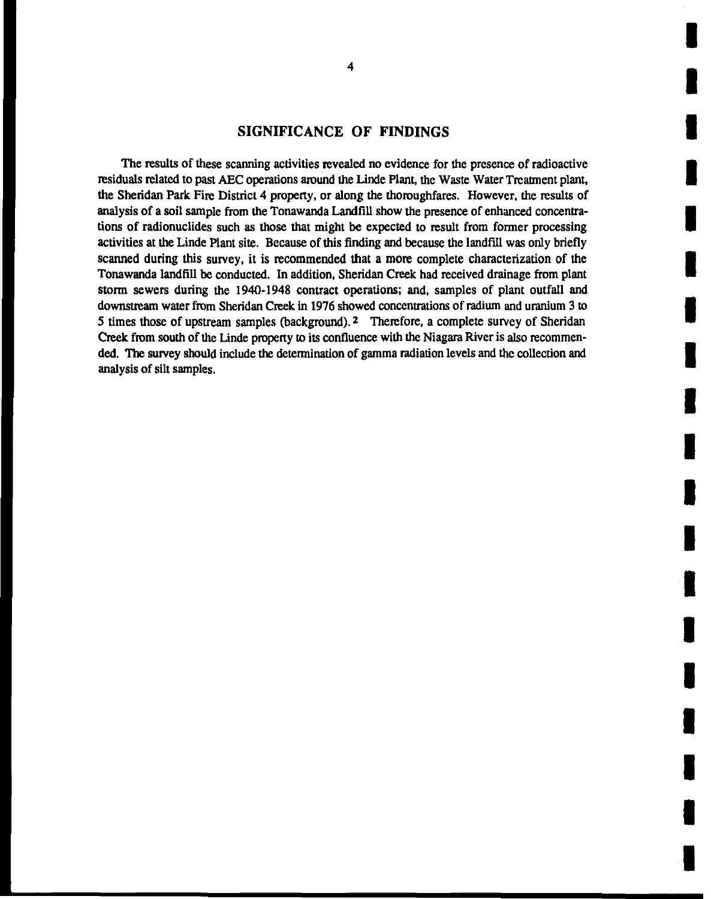### **SIGNIFICANCE OF FINDINGS**

The results of these scanning activities revealed no evidence for the presence of radioactive residuals related to past AEC operations around the Linde Plant, the Waste Water Treatment plant, the Sheridan Park Fire District 4 property, or along the thoroughfares. However, the results of analysis of a soil sample from the Tonawanda Landfill show the presence of enhanced concentrations of radionuclides such as those that might be expected to result from former processing activities at the Linde Plant site. Because of this finding and because the landfill was only briefly scanned during this survey, it is recommended that a more complete characterization of the Tonawanda landfill be conducted. In addition, Sheridan Creek had received drainage from plant storm sewers during the 1940-1948 contract operations; and, samples of plant outfall and downstream water from Sheridan Creek in 1976 showed concentrations of radium and uranium 3 to 5 times those of upstream samples (background). <sup>2</sup> Therefore, a complete survey of Sheridan Creek from south of the Linde property to its confluence with the Niagara River is also recommended. The survey should include the determination of gamma radiation levels and the collection and analysis of silt samples.

I

I

I

I

I

I

I

I

I

I

I

I

I

I

I

I

I

I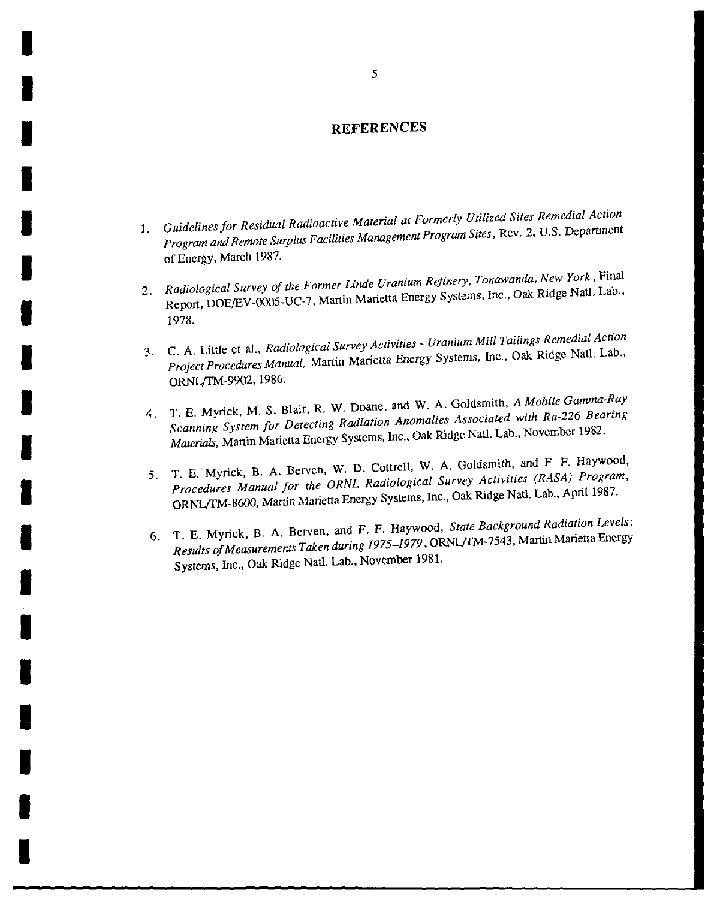### **REFERENCES**

- 1. *Guidelines for Residual Radioactive Material at Formerly Utilized Sites Remedial Action Program and Remote Surplus Facilities Management Program Sites,* Rev. 2, U.S. Department of Energy, March 1987.
- 2. *Radiological Survey of the Former Linde Uranium Refinery, Tonawanda, New York,* Final Report, DOE/EV-0005-UC-7, Martin Marierta Energy Systems, Inc., Oak Ridge Natl. Lab., 1978.
- 3. C. A. Little et a!., *Radiological Survey Activities- Uranium Mill Tailings Remedial Action Project Procedures Manual,* Martin Marietta Energy Systems, Inc., Oak Ridge Natl. Lab., ORNL{IM-9902, 1986.
- 4. T. E. Myrick, M. S. Blair, R. W. Doane, and W. A. Goldsmith, *A Mobile Gamma-Ray Scanning System for Detecting Radiation Anomalies Associated with Ra-226 Bearing Materials,* Martin Marietta Energy Systems, Inc., Oak Ridge Natl. Lab., November 1982.
- *5.* T. E. Myrick, B. A. Berven, W. D. Cottrell, W. A. Goldsmith, and F. F. Haywood, *Procedures Manual for the ORNL Radiological Survey Activities (RASA) Program,*  ORNL/TM-8600, Martin Marietta Energy Systems, Inc., Oak Ridge Natl. Lab., April 1987.
- 6. T. E. Myrick, B. A. Berven, and F. F. Haywood, *State Background Radiation Levels: Results of Measurements Taken during 1975-1979,* ORNL!fM-7543, Martin Marietta Energy Systems, Inc., Oak Ridge Natl. Lab., November 1981.

I

I

I

I

I

I

I

I

I

I

I

I

I

I

I

I

I

I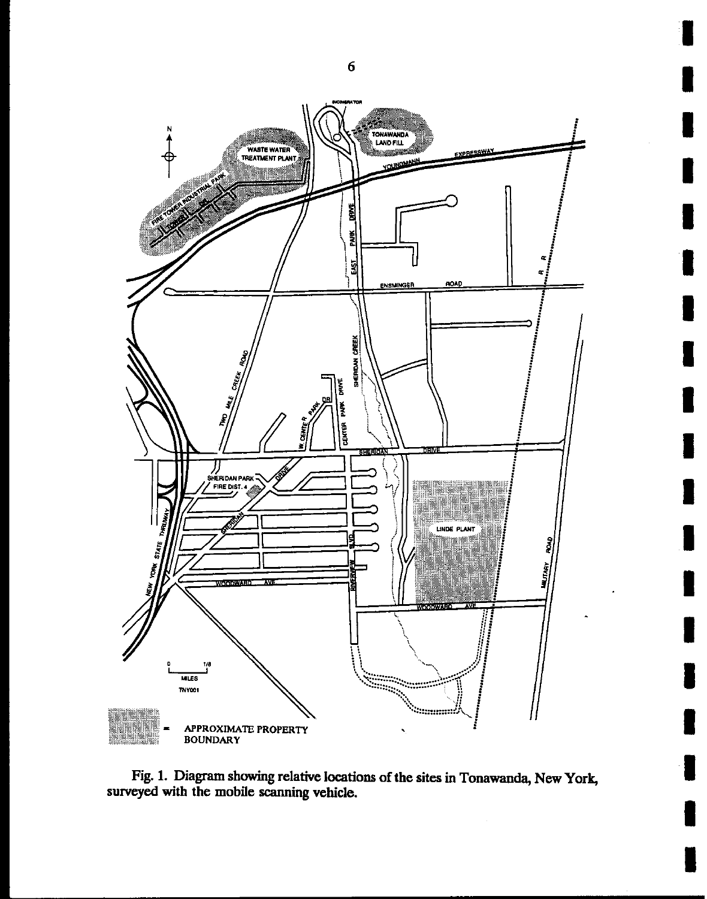

Fig. 1. Diagram showing relative locations of the sites in Tonawanda, New York, surveyed with the mobile scanning vehicle.

6

I

I

I

I

I

I

I

I

I

I

I

I

I

I

I

I

I

I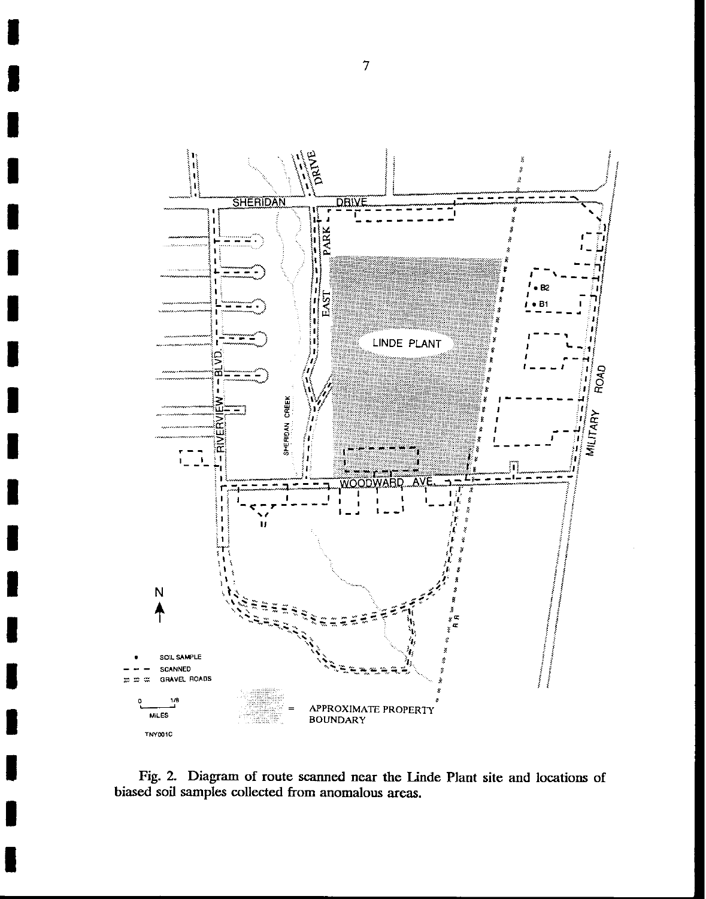

Fig. 2. Diagram of route scanned near the linde Plant site and locations of biased soil samples collected from anomalous areas.

7

I

I

I

I

I

I

I

I

I

I

I

I

I

I

I

I

I

I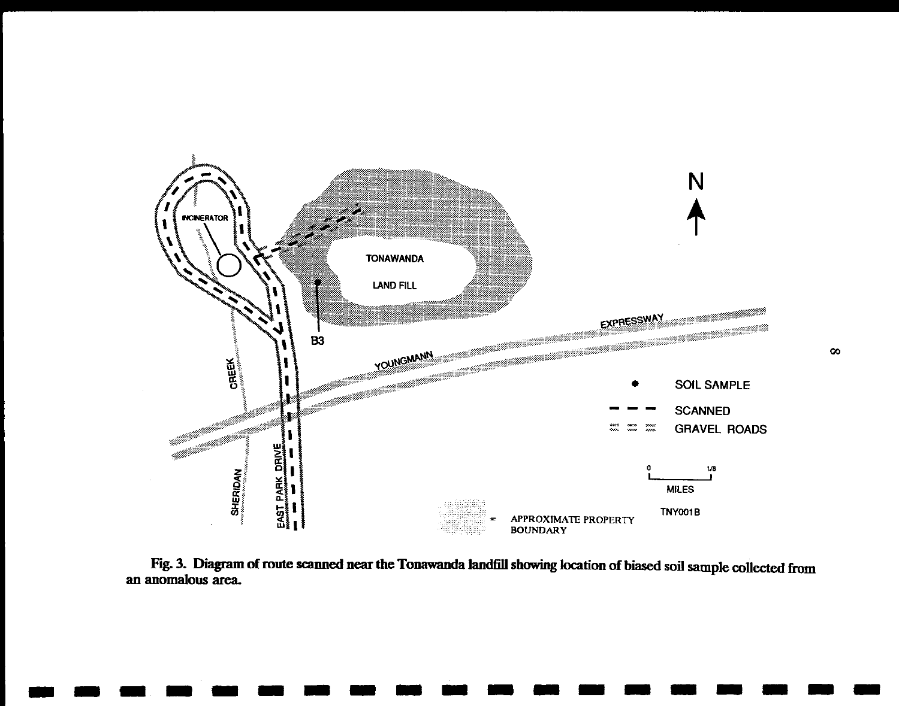

Fig. 3. Diagram of route scanned near the Tonawanda landfill showing location of biased soil sample collected from an anomalous area.

-------------------

00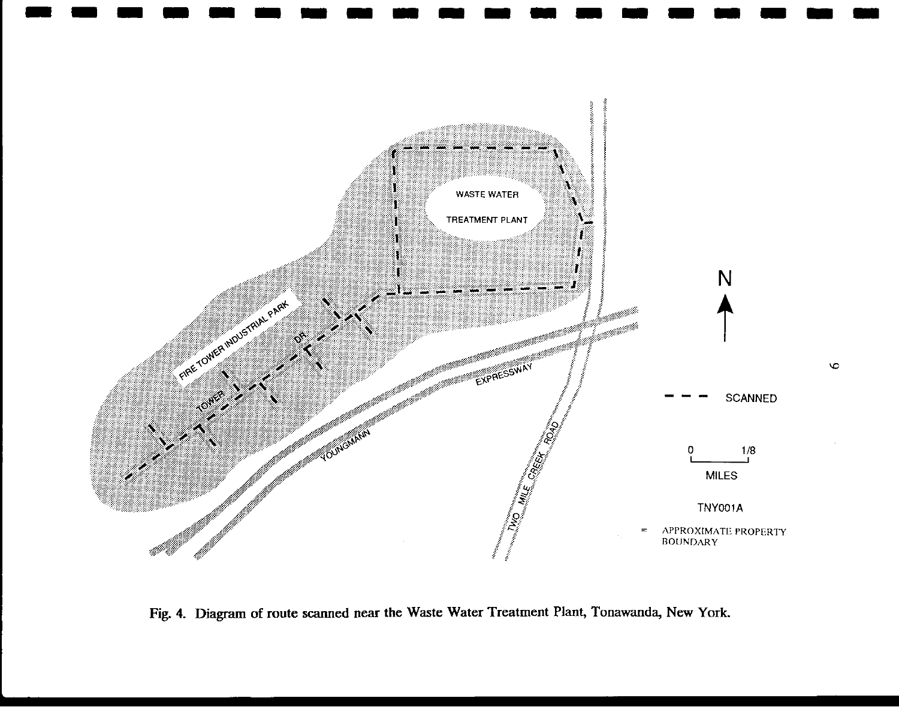

Fig. 4. Diagram of route scanned near the Waste Water Treatment Plant, Tonawanda, New York.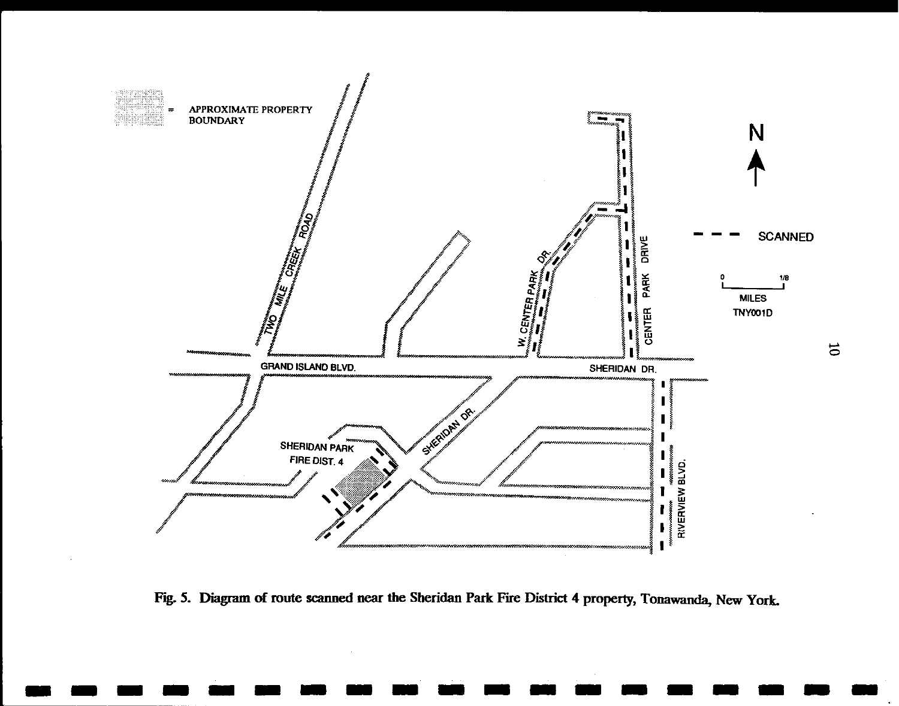

Fig. 5. Diagram of route scanned near the Sheridan Park Fire District 4 property, Tonawanda, New York.

-------------------

 $\Xi$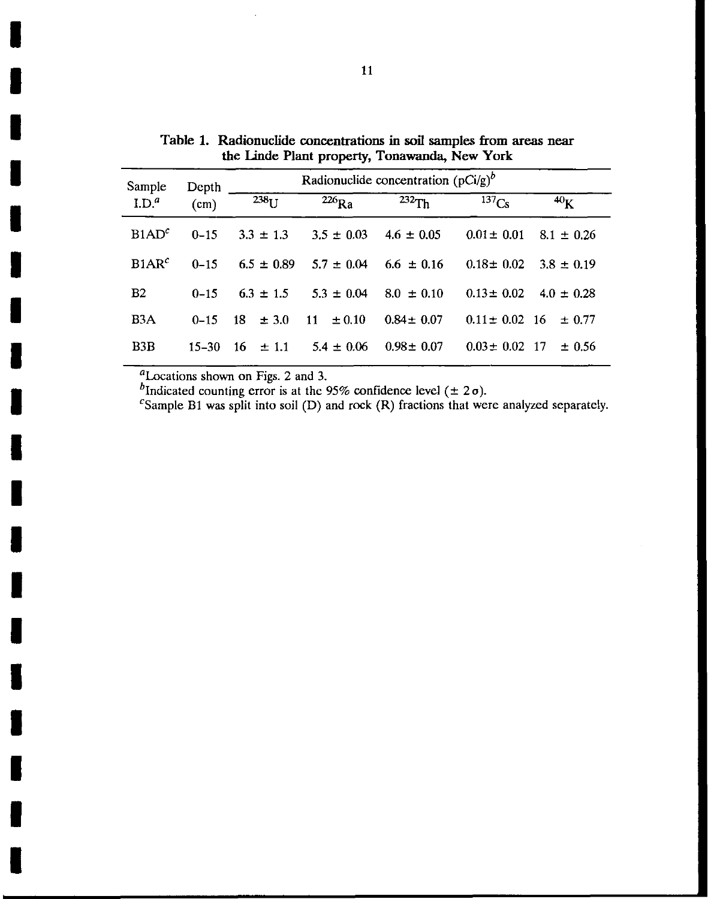| Sample            | Depth<br>(cm) | Radionuclide concentration $(pCi/g)^{b}$ |                   |                 |                       |                |
|-------------------|---------------|------------------------------------------|-------------------|-----------------|-----------------------|----------------|
| $L^{d}$           |               | $238_{11}$                               | $226$ Ra          | $232$ Th        | $\overline{137}_{Cs}$ | $^{40}$ K      |
| B1AD <sup>c</sup> | $0 - 15$      | $3.3 \pm 1.3$                            | $3.5 \pm 0.03$    | $4.6 \pm 0.05$  | $0.01 \pm 0.01$       | $8.1 \pm 0.26$ |
| B1AR <sup>c</sup> | $0 - 15$      | $6.5 \pm 0.89$                           | $5.7 + 0.04$      | $6.6 \pm 0.16$  | $0.18 \pm 0.02$       | $3.8 \pm 0.19$ |
| B <sub>2</sub>    | $0 - 15$      | $6.3 \pm 1.5$                            | $5.3 \pm 0.04$    | $8.0 \pm 0.10$  | $0.13 \pm 0.02$       | $4.0 \pm 0.28$ |
| B <sub>3</sub> A  | $0 - 15$      | 18<br>$\pm 3.0$                          | -11<br>$\pm 0.10$ | $0.84 \pm 0.07$ | $0.11 \pm 0.02$ 16    | $\pm 0.77$     |
| B <sub>3</sub> B  | $15 - 30$     | $16 \pm 1.1$                             | $5.4 \pm 0.06$    | $0.98 \pm 0.07$ | $0.03 \pm 0.02$ 17    | $\pm 0.56$     |

Table 1. Radionuclide concentrations in soil samples from areas near the Linde Plant property, Tonawanda, New York

 $<sup>a</sup>$ Locations shown on Figs. 2 and 3.</sup>

I

I

I

I

I

I

I

I

I

I

I

I

I

I

I

I

I

I

I

<sup>*D*</sup>Indicated counting error is at the 95% confidence level  $( \pm 2 \sigma)$ .

<sup>c</sup>Sample B1 was split into soil (D) and rock (R) fractions that were analyzed separately.